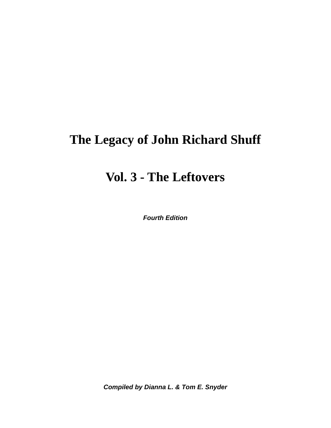# **The Legacy of John Richard Shuff**

# **Vol. 3 - The Leftovers**

*Fourth Edition* 

*Compiled by Dianna L. & Tom E. Snyder*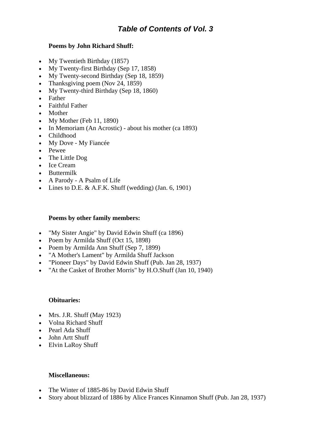## *Table of Contents of Vol. 3*

## **Poems by John Richard Shuff:**

- My Twentieth Birthday (1857)
- My Twenty-first Birthday (Sep 17, 1858)
- My Twenty-second Birthday (Sep 18, 1859)
- Thanksgiving poem (Nov 24, 1859)
- My Twenty-third Birthday (Sep 18, 1860)
- Father
- Faithful Father
- Mother
- My Mother (Feb 11, 1890)
- In Memoriam (An Acrostic) about his mother (ca 1893)
- Childhood
- My Dove My Fiancée
- Pewee
- The Little Dog
- Ice Cream
- Buttermilk
- A Parody A Psalm of Life
- Lines to D.E.  $& A.F.K.$  Shuff (wedding) (Jan. 6, 1901)

## **Poems by other family members:**

- "My Sister Angie" by David Edwin Shuff (ca 1896)
- Poem by Armilda Shuff (Oct 15, 1898)
- Poem by Armilda Ann Shuff (Sep 7, 1899)
- "A Mother's Lament" by Armilda Shuff Jackson
- "Pioneer Days" by David Edwin Shuff (Pub. Jan 28, 1937)
- "At the Casket of Brother Morris" by H.O.Shuff (Jan 10, 1940)

## **Obituaries:**

- Mrs. J.R. Shuff (May 1923)
- Volna Richard Shuff
- Pearl Ada Shuff
- John Artt Shuff
- Elvin LaRoy Shuff

## **Miscellaneous:**

- The Winter of 1885-86 by David Edwin Shuff
- Story about blizzard of 1886 by Alice Frances Kinnamon Shuff (Pub. Jan 28, 1937)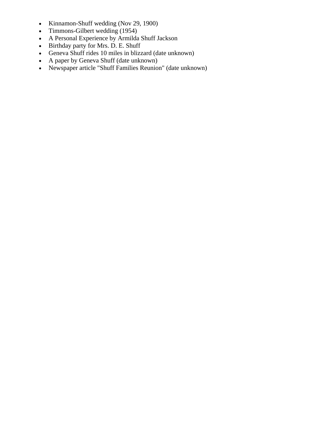- Kinnamon-Shuff wedding (Nov 29, 1900)
- Timmons-Gilbert wedding (1954)
- A Personal Experience by Armilda Shuff Jackson
- Birthday party for Mrs. D. E. Shuff
- Geneva Shuff rides 10 miles in blizzard (date unknown)
- A paper by Geneva Shuff (date unknown)
- Newspaper article "Shuff Families Reunion" (date unknown)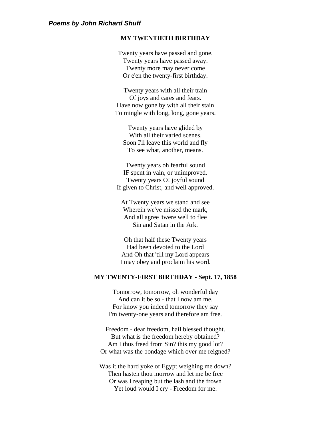#### **MY TWENTIETH BIRTHDAY**

Twenty years have passed and gone. Twenty years have passed away. Twenty more may never come Or e'en the twenty-first birthday.

Twenty years with all their train Of joys and cares and fears. Have now gone by with all their stain To mingle with long, long, gone years.

Twenty years have glided by With all their varied scenes. Soon I'll leave this world and fly To see what, another, means.

Twenty years oh fearful sound IF spent in vain, or unimproved. Twenty years O! joyful sound If given to Christ, and well approved.

At Twenty years we stand and see Wherein we've missed the mark, And all agree 'twere well to flee Sin and Satan in the Ark.

Oh that half these Twenty years Had been devoted to the Lord And Oh that 'till my Lord appears I may obey and proclaim his word.

#### **MY TWENTY-FIRST BIRTHDAY - Sept. 17, 1858**

Tomorrow, tomorrow, oh wonderful day And can it be so - that I now am me. For know you indeed tomorrow they say I'm twenty-one years and therefore am free.

Freedom - dear freedom, hail blessed thought. But what is the freedom hereby obtained? Am I thus freed from Sin? this my good lot? Or what was the bondage which over me reigned?

Was it the hard yoke of Egypt weighing me down? Then hasten thou morrow and let me be free Or was I reaping but the lash and the frown Yet loud would I cry - Freedom for me.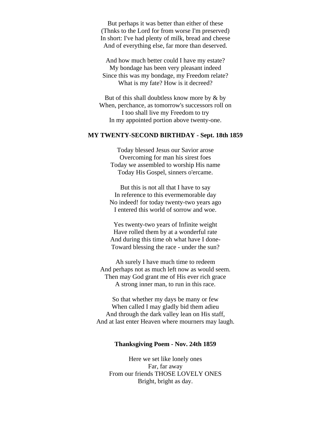But perhaps it was better than either of these (Thnks to the Lord for from worse I'm preserved) In short: I've had plenty of milk, bread and cheese And of everything else, far more than deserved.

And how much better could I have my estate? My bondage has been very pleasant indeed Since this was my bondage, my Freedom relate? What is my fate? How is it decreed?

But of this shall doubtless know more by & by When, perchance, as tomorrow's successors roll on I too shall live my Freedom to try In my appointed portion above twenty-one.

#### **MY TWENTY-SECOND BIRTHDAY - Sept. 18th 1859**

Today blessed Jesus our Savior arose Overcoming for man his sirest foes Today we assembled to worship His name Today His Gospel, sinners o'ercame.

But this is not all that I have to say In reference to this evermemorable day No indeed! for today twenty-two years ago I entered this world of sorrow and woe.

Yes twenty-two years of Infinite weight Have rolled them by at a wonderful rate And during this time oh what have I done-Toward blessing the race - under the sun?

Ah surely I have much time to redeem And perhaps not as much left now as would seem. Then may God grant me of His ever rich grace A strong inner man, to run in this race.

So that whether my days be many or few When called I may gladly bid them adieu And through the dark valley lean on His staff, And at last enter Heaven where mourners may laugh.

#### **Thanksgiving Poem - Nov. 24th 1859**

Here we set like lonely ones Far, far away From our friends THOSE LOVELY ONES Bright, bright as day.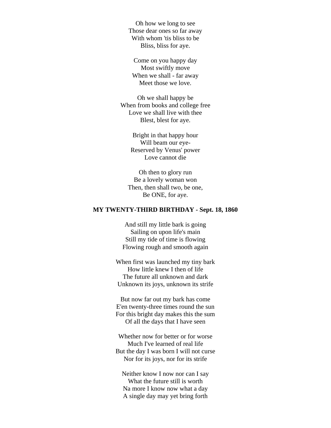Oh how we long to see Those dear ones so far away With whom 'tis bliss to be Bliss, bliss for aye.

Come on you happy day Most swiftly move When we shall - far away Meet those we love.

Oh we shall happy be When from books and college free Love we shall live with thee Blest, blest for aye.

> Bright in that happy hour Will beam our eye-Reserved by Venus' power Love cannot die

Oh then to glory run Be a lovely woman won Then, then shall two, be one, Be ONE, for aye.

#### **MY TWENTY-THIRD BIRTHDAY - Sept. 18, 1860**

And still my little bark is going Sailing on upon life's main Still my tide of time is flowing Flowing rough and smooth again

When first was launched my tiny bark How little knew I then of life The future all unknown and dark Unknown its joys, unknown its strife

But now far out my bark has come E'en twenty-three times round the sun For this bright day makes this the sum Of all the days that I have seen

Whether now for better or for worse Much I've learned of real life But the day I was born I will not curse Nor for its joys, nor for its strife

Neither know I now nor can I say What the future still is worth Na more I know now what a day A single day may yet bring forth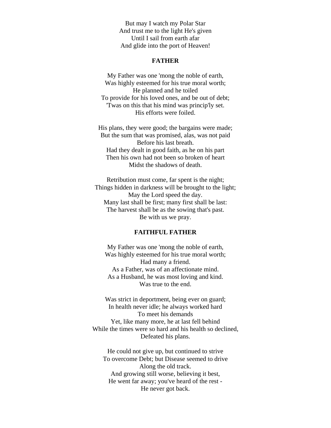But may I watch my Polar Star And trust me to the light He's given Until I sail from earth afar And glide into the port of Heaven!

#### **FATHER**

My Father was one 'mong the noble of earth, Was highly esteemed for his true moral worth; He planned and he toiled To provide for his loved ones, and be out of debt; 'Twas on this that his mind was princip'ly set. His efforts were foiled.

His plans, they were good; the bargains were made; But the sum that was promised, alas, was not paid Before his last breath. Had they dealt in good faith, as he on his part Then his own had not been so broken of heart Midst the shadows of death.

Retribution must come, far spent is the night; Things hidden in darkness will be brought to the light; May the Lord speed the day. Many last shall be first; many first shall be last: The harvest shall be as the sowing that's past. Be with us we pray.

#### **FAITHFUL FATHER**

My Father was one 'mong the noble of earth, Was highly esteemed for his true moral worth; Had many a friend. As a Father, was of an affectionate mind. As a Husband, he was most loving and kind. Was true to the end.

Was strict in deportment, being ever on guard; In health never idle; he always worked hard To meet his demands Yet, like many more, he at last fell behind While the times were so hard and his health so declined, Defeated his plans.

He could not give up, but continued to strive To overcome Debt; but Disease seemed to drive Along the old track. And growing still worse, believing it best, He went far away; you've heard of the rest - He never got back.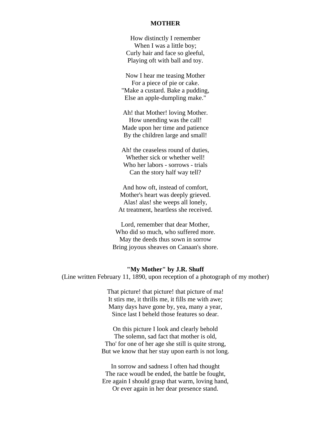#### **MOTHER**

How distinctly I remember When I was a little boy; Curly hair and face so gleeful, Playing oft with ball and toy.

Now I hear me teasing Mother For a piece of pie or cake. "Make a custard. Bake a pudding, Else an apple-dumpling make."

Ah! that Mother! loving Mother. How unending was the call! Made upon her time and patience By the children large and small!

Ah! the ceaseless round of duties, Whether sick or whether well! Who her labors - sorrows - trials Can the story half way tell?

And how oft, instead of comfort, Mother's heart was deeply grieved. Alas! alas! she weeps all lonely, At treatment, heartless she received.

Lord, remember that dear Mother, Who did so much, who suffered more. May the deeds thus sown in sorrow Bring joyous sheaves on Canaan's shore.

#### **"My Mother" by J.R. Shuff**

(Line written February 11, 1890, upon reception of a photograph of my mother)

That picture! that picture! that picture of ma! It stirs me, it thrills me, it fills me with awe; Many days have gone by, yea, many a year, Since last I beheld those features so dear.

On this picture I look and clearly behold The solemn, sad fact that mother is old, Tho' for one of her age she still is quite strong, But we know that her stay upon earth is not long.

In sorrow and sadness I often had thought The race woudl be ended, the battle be fought, Ere again I should grasp that warm, loving hand, Or ever again in her dear presence stand.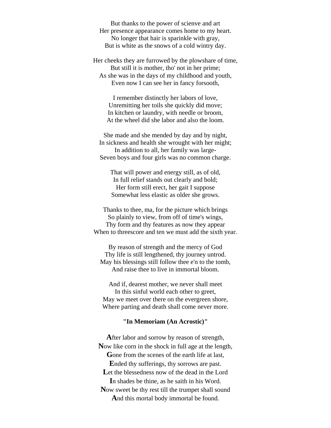But thanks to the power of scienve and art Her presence appearance comes home to my heart. No longer that hair is sparinkle with gray, But is white as the snows of a cold wintry day.

Her cheeks they are furrowed by the plowshare of time, But still it is mother, tho' not in her prime; As she was in the days of my childhood and youth, Even now I can see her in fancy forsooth,

I remember distinctly her labors of love, Unremitting her toils she quickly did move; In kitchen or laundry, with needle or broom, At the wheel did she labor and also the loom.

She made and she mended by day and by night, In sickness and health she wrought with her might; In addition to all, her family was large-Seven boys and four girls was no common charge.

That will power and energy still, as of old, In full relief stands out clearly and bold; Her form still erect, her gait I suppose Somewhat less elastic as older she grows.

Thanks to thee, ma, for the picture which brings So plainly to view, from off of time's wings, Thy form and thy features as now they appear When to threescore and ten we must add the sixth year.

By reason of strength and the mercy of God Thy life is still lengthened, thy journey untrod. May his blessings still follow thee e'n to the tomb, And raise thee to live in immortal bloom.

And if, dearest mother, we never shall meet In this sinful world each other to greet, May we meet over there on the evergreen shore, Where parting and death shall come never more.

#### **"In Memoriam (An Acrostic)"**

**A**fter labor and sorrow by reason of strength, **N**ow like corn in the shock in full age at the length, **G**one from the scenes of the earth life at last, **E**nded thy sufferings, thy sorrows are past. Let the blessedness now of the dead in the Lord **I**n shades be thine, as he saith in his Word. **N**ow sweet be thy rest till the trumpet shall sound **A**nd this mortal body immortal be found.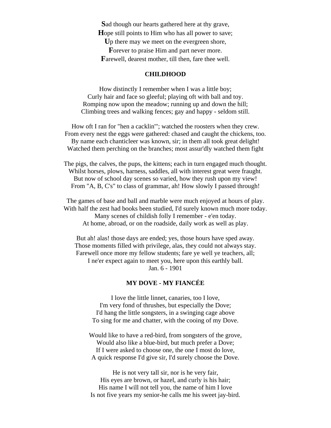**S**ad though our hearts gathered here at thy grave, **H**ope still points to Him who has all power to save; **U**p there may we meet on the evergreen shore, Forever to praise Him and part never more. **F**arewell, dearest mother, till then, fare thee well.

#### **CHILDHOOD**

How distinctly I remember when I was a little boy; Curly hair and face so gleeful; playing oft with ball and toy. Romping now upon the meadow; running up and down the hill; Climbing trees and walking fences; gay and happy - seldom still.

How oft I ran for "hen a cacklin'"; watched the roosters when they crew. From every nest the eggs were gathered: chased and caught the chickens, too. By name each chanticleer was known, sir; in them all took great delight! Watched them perching on the branches; most assur'dly watched them fight

The pigs, the calves, the pups, the kittens; each in turn engaged much thought. Whilst horses, plows, harness, saddles, all with interest great were fraught. But now of school day scenes so varied, how they rush upon my view! From "A, B, C's" to class of grammar, ah! How slowly I passed through!

The games of base and ball and marble were much enjoyed at hours of play. With half the zest had books been studied, I'd surely known much more today. Many scenes of childish folly I remember - e'en today. At home, abroad, or on the roadside, daily work as well as play.

But ah! alas! those days are ended; yes, those hours have sped away. Those moments filled with privilege, alas, they could not always stay. Farewell once more my fellow students; fare ye well ye teachers, all; I ne'er expect again to meet you, here upon this earthly ball. Jan. 6 - 1901

## **MY DOVE - MY FIANCÉE**

I love the little linnet, canaries, too I love, I'm very fond of thrushes, but especially the Dove; I'd hang the little songsters, in a swinging cage above To sing for me and chatter, with the cooing of my Dove.

Would like to have a red-bird, from songsters of the grove, Would also like a blue-bird, but much prefer a Dove; If I were asked to choose one, the one I most do love, A quick response I'd give sir, I'd surely choose the Dove.

He is not very tall sir, nor is he very fair, His eyes are brown, or hazel, and curly is his hair; His name I will not tell you, the name of him I love Is not five years my senior-he calls me his sweet jay-bird.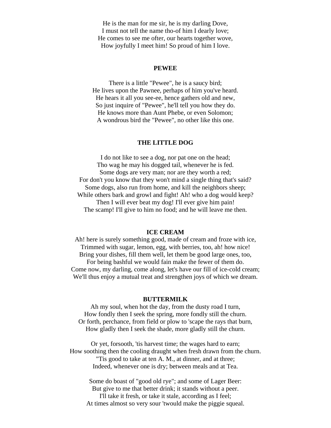He is the man for me sir, he is my darling Dove, I must not tell the name tho-of him I dearly love; He comes to see me ofter, our hearts together wove, How joyfully I meet him! So proud of him I love.

#### **PEWEE**

There is a little "Pewee", he is a saucy bird; He lives upon the Pawnee, perhaps of him you've heard. He hears it all you see-ee, hence gathers old and new, So just inquire of "Pewee", he'll tell you how they do. He knows more than Aunt Phebe, or even Solomon; A wondrous bird the "Pewee", no other like this one.

#### **THE LITTLE DOG**

I do not like to see a dog, nor pat one on the head; Tho wag he may his dogged tail, whenever he is fed. Some dogs are very man; nor are they worth a red; For don't you know that they won't mind a single thing that's said? Some dogs, also run from home, and kill the neighbors sheep; While others bark and growl and fight! Ah! who a dog would keep? Then I will ever beat my dog! I'll ever give him pain! The scamp! I'll give to him no food; and he will leave me then.

#### **ICE CREAM**

Ah! here is surely something good, made of cream and froze with ice, Trimmed with sugar, lemon, egg, with berries, too, ah! how nice! Bring your dishes, fill them well, let them be good large ones, too, For being bashful we would fain make the fewer of them do. Come now, my darling, come along, let's have our fill of ice-cold cream; We'll thus enjoy a mutual treat and strengthen joys of which we dream.

#### **BUTTERMILK**

Ah my soul, when hot the day, from the dusty road I turn, How fondly then I seek the spring, more fondly still the churn. Or forth, perchance, from field or plow to 'scape the rays that burn, How gladly then I seek the shade, more gladly still the churn.

Or yet, forsooth, 'tis harvest time; the wages hard to earn; How soothing then the cooling draught when fresh drawn from the churn. "Tis good to take at ten A. M., at dinner, and at three; Indeed, whenever one is dry; between meals and at Tea.

Some do boast of "good old rye"; and some of Lager Beer: But give to me that better drink; it stands without a peer. I'll take it fresh, or take it stale, according as I feel; At times almost so very sour 'twould make the piggie squeal.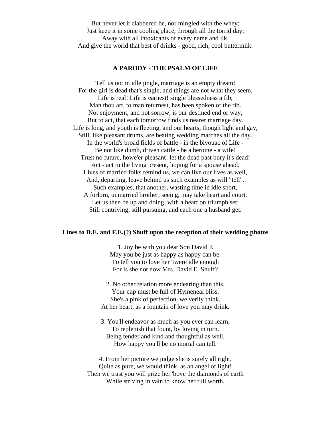But never let it clabbered be, nor mingled with the whey; Just keep it in some cooling place, through all the torrid day; Away with all intoxicants of every name and ilk, And give the world that best of drinks - good, rich, cool buttermilk.

#### **A PARODY - THE PSALM OF LIFE**

Tell us not in idle jingle, marriage is an empty dream! For the girl is dead that's single, and things are not what they seem. Life is real! Life is earnest! single blessedness a fib; Man thou art, to man returnest, has been spoken of the rib. Not enjoyment, and not sorrow, is our destined end or way, But to act, that each tomorrow finds us nearer marriage day. Life is long, and youth is fleeting, and our hearts, though light and gay, Still, like pleasant drums, are beating wedding marches all the day. In the world's broad fields of battle - in the bivouac of Life - Be not like dumb, driven cattle - be a heroine - a wife! Trust no future, howe'er pleasant! let the dead past bury it's dead! Act - act in the living present, hoping for a spouse ahead. Lives of married folks remind us, we can live our lives as well, And, departing, leave behind us such examples as will "tell". Such examples, that another, wasting time in idle sport, A forlorn, unmarried brother, seeing, may take heart and court. Let us then be up and doing, with a heart on triumph set; Still contriving, still pursuing, and each one a husband get.

#### **Lines to D.E. and F.E.(?) Shuff upon the reception of their wedding photos**

1. Joy be with you dear Son David E May you be just as happy as happy can be. To tell you to love her 'twere idle enough For is she not now Mrs. David E. Shuff?

2. No other relation more endearing than this. Your cup must be full of Hymeneal bliss. She's a pink of perfection, we verily think. At her heart, as a fountain of love you may drink.

3. You'll endeavor as much as you ever can learn, To replenish that fount, by loving in turn. Being tender and kind and thoughtful as well, How happy you'll be no mortal can tell.

4. From her picture we judge she is surely all right, Quite as pure, we would think, as an angel of light! Then we trust you will prize her 'bove the diamonds of earth While striving in vain to know her full worth.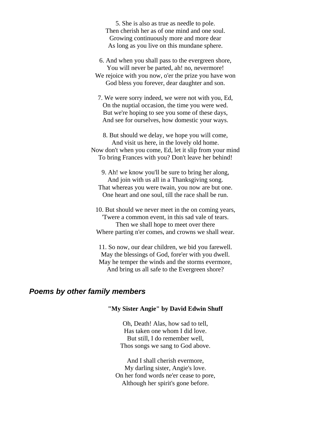5. She is also as true as needle to pole. Then cherish her as of one mind and one soul. Growing continuously more and more dear As long as you live on this mundane sphere.

6. And when you shall pass to the evergreen shore, You will never be parted, ah! no, nevermore! We rejoice with you now, o'er the prize you have won God bless you forever, dear daughter and son.

7. We were sorry indeed, we were not with you, Ed, On the nuptial occasion, the time you were wed. But we're hoping to see you some of these days, And see for ourselves, how domestic your ways.

8. But should we delay, we hope you will come, And visit us here, in the lovely old home. Now don't when you come, Ed, let it slip from your mind To bring Frances with you? Don't leave her behind!

9. Ah! we know you'll be sure to bring her along, And join with us all in a Thanksgiving song. That whereas you were twain, you now are but one. One heart and one soul, till the race shall be run.

10. But should we never meet in the on coming years, 'Twere a common event, in this sad vale of tears. Then we shall hope to meet over there Where parting n'er comes, and crowns we shall wear.

11. So now, our dear children, we bid you farewell. May the blessings of God, fore'er with you dwell. May he temper the winds and the storms evermore, And bring us all safe to the Evergreen shore?

## *Poems by other family members*

#### **"My Sister Angie" by David Edwin Shuff**

Oh, Death! Alas, how sad to tell, Has taken one whom I did love. But still, I do remember well, Thos songs we sang to God above.

And I shall cherish evermore, My darling sister, Angie's love. On her fond words ne'er cease to pore, Although her spirit's gone before.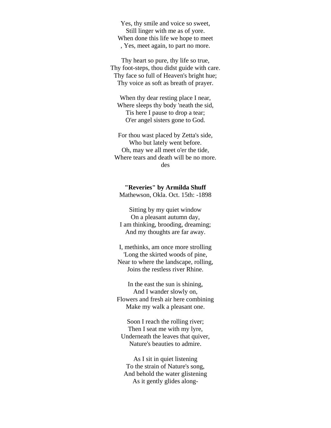Yes, thy smile and voice so sweet, Still linger with me as of yore. When done this life we hope to meet , Yes, meet again, to part no more.

Thy heart so pure, thy life so true, Thy foot-steps, thou didst guide with care. Thy face so full of Heaven's bright hue; Thy voice as soft as breath of prayer.

When thy dear resting place I near, Where sleeps thy body 'neath the sid, Tis here I pause to drop a tear; O'er angel sisters gone to God.

For thou wast placed by Zetta's side, Who but lately went before. Oh, may we all meet o'er the tide, Where tears and death will be no more. des

**"Reveries" by Armilda Shuff** Mathewson, Okla. Oct. 15th: -1898

Sitting by my quiet window On a pleasant autumn day, I am thinking, brooding, dreaming; And my thoughts are far away.

I, methinks, am once more strolling 'Long the skirted woods of pine, Near to where the landscape, rolling, Joins the restless river Rhine.

In the east the sun is shining, And I wander slowly on, Flowers and fresh air here combining Make my walk a pleasant one.

Soon I reach the rolling river; Then I seat me with my lyre, Underneath the leaves that quiver, Nature's beauties to admire.

As I sit in quiet listening To the strain of Nature's song, And behold the water glistening As it gently glides along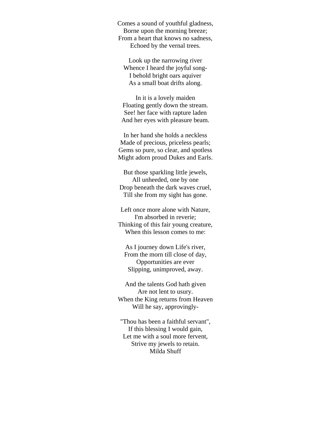Comes a sound of youthful gladness, Borne upon the morning breeze; From a heart that knows no sadness, Echoed by the vernal trees.

Look up the narrowing river Whence I heard the joyful song-I behold bright oars aquiver As a small boat drifts along.

In it is a lovely maiden Floating gently down the stream. See! her face with rapture laden And her eyes with pleasure beam.

In her hand she holds a neckless Made of precious, priceless pearls; Gems so pure, so clear, and spotless Might adorn proud Dukes and Earls.

But those sparkling little jewels, All unheeded, one by one Drop beneath the dark waves cruel, Till she from my sight has gone.

Left once more alone with Nature, I'm absorbed in reverie; Thinking of this fair young creature, When this lesson comes to me:

As I journey down Life's river, From the morn till close of day, Opportunities are ever Slipping, unimproved, away.

And the talents God hath given Are not lent to usury. When the King returns from Heaven Will he say, approvingly-

"Thou has been a faithful servant", If this blessing I would gain, Let me with a soul more fervent, Strive my jewels to retain. Milda Shuff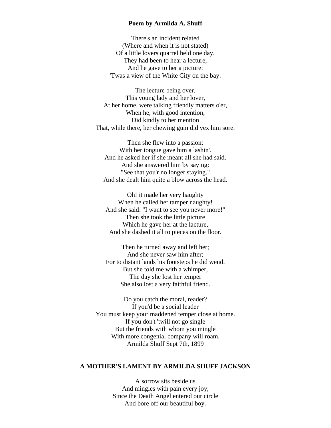#### **Poem by Armilda A. Shuff**

There's an incident related (Where and when it is not stated) Of a little lovers quarrel held one day. They had been to hear a lecture, And he gave to her a picture: 'Twas a view of the White City on the bay.

The lecture being over, This young lady and her lover, At her home, were talking friendly matters o'er, When he, with good intention, Did kindly to her mention That, while there, her chewing gum did vex him sore.

Then she flew into a passion; With her tongue gave him a lashin'. And he asked her if she meant all she had said. And she answered him by saying: "See that you'r no longer staying." And she dealt him quite a blow across the head.

Oh! it made her very haughty When he called her tamper naughty! And she said: "I want to see you never more!" Then she took the little picture Which he gave her at the lacture, And she dashed it all to pieces on the floor.

Then he turned away and left her; And she never saw him after; For to distant lands his footsteps he did wend. But she told me with a whimper, The day she lost her temper She also lost a very faithful friend.

Do you catch the moral, reader? If you'd be a social leader You must keep your maddened temper close at home. If you don't 'twill not go single But the friends with whom you mingle With more congenial company will roam. Armilda Shuff Sept 7th, 1899

## **A MOTHER'S LAMENT BY ARMILDA SHUFF JACKSON**

A sorrow sits beside us And mingles with pain every joy, Since the Death Angel entered our circle And bore off our beautiful boy.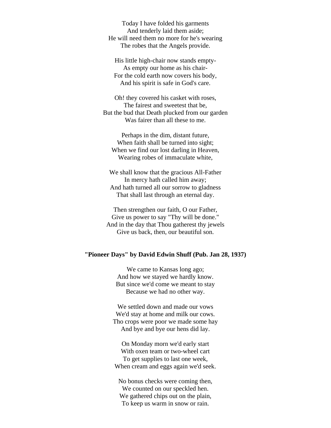Today I have folded his garments And tenderly laid them aside; He will need them no more for he's wearing The robes that the Angels provide.

His little high-chair now stands empty-As empty our home as his chair-For the cold earth now covers his body, And his spirit is safe in God's care.

Oh! they covered his casket with roses, The fairest and sweetest that be, But the bud that Death plucked from our garden Was fairer than all these to me.

Perhaps in the dim, distant future, When faith shall be turned into sight; When we find our lost darling in Heaven, Wearing robes of immaculate white,

We shall know that the gracious All-Father In mercy hath called him away; And hath turned all our sorrow to gladness That shall last through an eternal day.

Then strengthen our faith, O our Father, Give us power to say "Thy will be done." And in the day that Thou gatherest thy jewels Give us back, then, our beautiful son.

#### **"Pioneer Days" by David Edwin Shuff (Pub. Jan 28, 1937)**

We came to Kansas long ago; And how we stayed we hardly know. But since we'd come we meant to stay Because we had no other way.

We settled down and made our vows We'd stay at home and milk our cows. Tho crops were poor we made some hay And bye and bye our hens did lay.

On Monday morn we'd early start With oxen team or two-wheel cart To get supplies to last one week, When cream and eggs again we'd seek.

No bonus checks were coming then, We counted on our speckled hen. We gathered chips out on the plain, To keep us warm in snow or rain.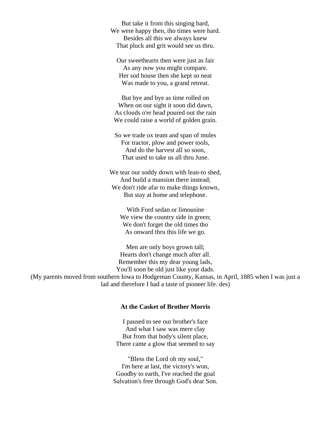But take it from this singing bard, We were happy then, tho times were hard. Besides all this we always knew That pluck and grit would see us thru.

Our sweethearts then were just as fair As any now you might compare. Her sod house then she kept so neat Was made to you, a grand retreat.

But bye and bye as time rolled on When on our sight it soon did dawn, As clouds o'er head poured out the rain We could raise a world of golden grain.

So we trade ox team and span of mules For tractor, plow and power tools, And do the harvest all so soon, That used to take us all thru June.

We tear our soddy down with lean-to shed, And build a mansion there instead; We don't ride afar to make things known, But stay at home and telephone.

With Ford sedan or limousine We view the country side in green; We don't forget the old times tho As onward thru this life we go.

Men are only boys grown tall; Hearts don't change much after all. Remember this my dear young lads, You'll soon be old just like your dads. (My parents moved from southern Iowa to Hodgeman County, Kansas, in April, 1885 when I was just a lad and therefore I had a taste of pioneer life. des)

#### **At the Casket of Brother Morris**

I paused to see our brother's face And what I saw was mere clay But from that body's silent place, There came a glow that seemed to say

"Bless the Lord oh my soul," I'm here at last, the victory's won, Goodby to earth, I've reached the goal Salvation's free through God's dear Son.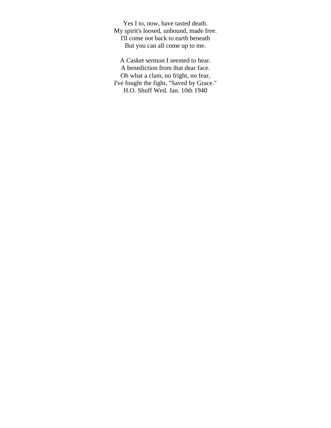Yes I to, now, have tasted death. My spirit's loosed, unbound, made free. I'll come not back to earth beneath But you can all come up to me.

A Casket sermon I seemed to hear. A benediction from that dear face. Oh what a clam, no fright, no fear, I've fought the fight, "Saved by Grace." H.O. Shuff Wed. Jan. 10th 1940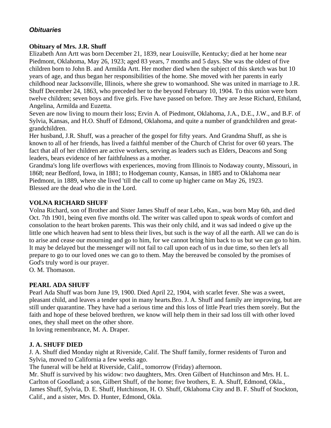## *Obituaries*

## **Obituary of Mrs. J.R. Shuff**

Elizabeth Ann Artt was born December 21, 1839, near Louisville, Kentucky; died at her home near Piedmont, Oklahoma, May 26, 1923; aged 83 years, 7 months and 5 days. She was the oldest of five children born to John B. and Armilda Artt. Her mother died when the subject of this sketch was but 10 years of age, and thus began her responsibilities of the home. She moved with her parents in early childhood near Jacksonville, Illinois, where she grew to womanhood. She was united in marriage to J.R. Shuff December 24, 1863, who preceded her to the beyond February 10, 1904. To this union were born twelve children; seven boys and five girls. Five have passed on before. They are Jesse Richard, Ethiland, Angelina, Armilda and Euzetta.

Seven are now living to mourn their loss; Ervin A. of Piedmont, Oklahoma, J.A., D.E., J.W., and B.F. of Sylvia, Kansas, and H.O. Shuff of Edmond, Oklahoma, and quite a number of grandchildren and greatgrandchildren.

Her husband, J.R. Shuff, was a preacher of the gospel for fifty years. And Grandma Shuff, as she is known to all of her friends, has lived a faithful member of the Church of Christ for over 60 years. The fact that all of her children are active workers, serving as leaders such as Elders, Deacons and Song leaders, bears evidence of her faithfulness as a mother.

Grandma's long life overflows with experiences, moving from Illinois to Nodaway county, Missouri, in 1868; near Bedford, Iowa, in 1881; to Hodgeman county, Kansas, in 1885 and to Oklahoma near Piedmont, in 1889, where she lived 'till the call to come up higher came on May 26, 1923. Blessed are the dead who die in the Lord.

## **VOLNA RICHARD SHUFF**

Volna Richard, son of Brother and Sister James Shuff of near Lebo, Kan., was born May 6th, and died Oct. 7th 1901, being even five months old. The writer was called upon to speak words of comfort and consolation to the heart broken parents. This was their only child, and it was sad indeed o give up the little one which heaven had sent to bless their lives, but such is the way of all the earth. All we can do is to arise and cease our mourning and go to him, for we cannot bring him back to us but we can go to him. It may be delayed but the messenger will not fail to call upon each of us in due time, so then let's all prepare to go to our loved ones we can go to them. May the bereaved be consoled by the promises of God's truly word is our prayer.

O. M. Thomason.

## **PEARL ADA SHUFF**

Pearl Ada Shuff was born June 19, 1900. Died April 22, 1904, with scarlet fever. She was a sweet, pleasant child, and leaves a tender spot in many hearts.Bro. J. A. Shuff and family are improving, but are still under quarantine. They have had a serious time and this loss of little Pearl tries them sorely. But the faith and hope of these beloved brethren, we know will help them in their sad loss till with other loved ones, they shall meet on the other shore.

In loving remembrance, M. A. Draper.

## **J. A. SHUFF DIED**

J. A. Shuff died Monday night at Riverside, Calif. The Shuff family, former residents of Turon and Sylvia, moved to California a few weeks ago.

The funeral will be held at Riverside, Calif., tomorrow (Friday) afternoon.

Mr. Shuff is survived by his widow: two daughters, Mrs. Oren Gilbert of Hutchinson and Mrs. H. L. Carlton of Goodland; a son, Gilbert Shuff, of the home; five brothers, E. A. Shuff, Edmond, Okla., James Shuff, Sylvia, D. E. Shuff, Hutchinson, H. O. Shuff, Oklahoma City and B. F. Shuff of Stockton, Calif., and a sister, Mrs. D. Hunter, Edmond, Okla.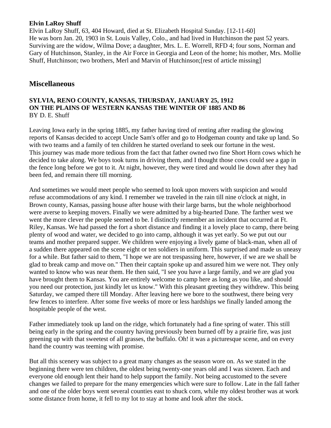## **Elvin LaRoy Shuff**

Elvin LaRoy Shuff, 63, 404 Howard, died at St. Elizabeth Hospital Sunday. [12-11-60] He was born Jan. 20, 1903 in St. Louis Valley, Colo., and had lived in Hutchinson the past 52 years. Surviving are the widow, Wilma Dove; a daughter, Mrs. L. E. Worrell, RFD 4; four sons, Norman and Gary of Hutchinson, Stanley, in the Air Force in Georgia and Leon of the home; his mother, Mrs. Mollie Shuff, Hutchinson; two brothers, Merl and Marvin of Hutchinson;[rest of article missing]

## **Miscellaneous**

## **SYLVIA, RENO COUNTY, KANSAS, THURSDAY, JANUARY 25, 1912 ON THE PLAINS OF WESTERN KANSAS THE WINTER OF 1885 AND 86** BY D. E. Shuff

Leaving Iowa early in the spring 1885, my father having tired of renting after reading the glowing reports of Kansas decided to accept Uncle Sam's offer and go to Hodgeman county and take up land. So with two teams and a family of ten children he started overland to seek our fortune in the west. This journey was made more tedious from the fact that father owned two fine Short Horn cows which he decided to take along. We boys took turns in driving them, and I thought those cows could see a gap in the fence long before we got to it. At night, however, they were tired and would lie down after they had been fed, and remain there till morning.

And sometimes we would meet people who seemed to look upon movers with suspicion and would refuse accommodations of any kind. I remember we traveled in the rain till nine o'clock at night, in Brown county, Kansas, passing house after house with their large barns, but the whole neighborhood were averse to keeping movers. Finally we were admitted by a big-hearted Dane. The farther west we went the more clever the people seemed to be. I distinctly remember an incident that occurred at Ft. Riley, Kansas. We had passed the fort a short distance and finding it a lovely place to camp, there being plenty of wood and water, we decided to go into camp, although it was yet early. So we put out our teams and mother prepared supper. We children were enjoying a lively game of black-man, when all of a sudden there appeared on the scene eight or ten soldiers in uniform. This surprised and made us uneasy for a while. But father said to them, "I hope we are not trespassing here, however, if we are we shall be glad to break camp and move on." Then their captain spoke up and assured him we were not. They only wanted to know who was near them. He then said, "I see you have a large family, and we are glad you have brought them to Kansas. You are entirely welcome to camp here as long as you like, and should you need our protection, just kindly let us know." With this pleasant greeting they withdrew. This being Saturday, we camped there till Monday. After leaving here we bore to the southwest, there being very few fences to interfere. After some five weeks of more or less hardships we finally landed among the hospitable people of the west.

Father immediately took up land on the ridge, which fortunately had a fine spring of water. This still being early in the spring and the country having previously been burned off by a prairie fire, was just greening up with that sweetest of all grasses, the buffalo. Oh! it was a picturesque scene, and on every hand the country was teeming with promise.

But all this scenery was subject to a great many changes as the season wore on. As we stated in the beginning there were ten children, the oldest being twenty-one years old and I was sixteen. Each and everyone old enough lent their hand to help support the family. Not being accustomed to the severe changes we failed to prepare for the many emergencies which were sure to follow. Late in the fall father and one of the older boys went several counties east to shuck corn, while my oldest brother was at work some distance from home, it fell to my lot to stay at home and look after the stock.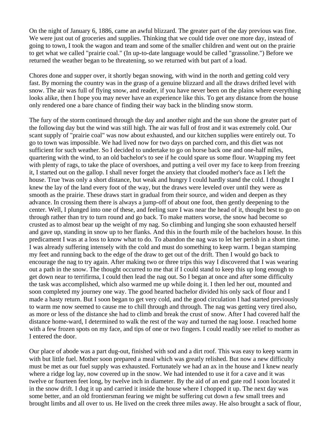On the night of January 6, 1886, came an awful blizzard. The greater part of the day previous was fine. We were just out of groceries and supplies. Thinking that we could tide over one more day, instead of going to town, I took the wagon and team and some of the smaller children and went out on the prairie to get what we called "prairie coal." (In up-to-date language would be called "grassoline.") Before we returned the weather began to be threatening, so we returned with but part of a load.

Chores done and supper over, it shortly began snowing, with wind in the north and getting cold very fast. By morning the country was in the grasp of a genuine blizzard and all the draws drifted level with snow. The air was full of flying snow, and reader, if you have never been on the plains where everything looks alike, then I hope you may never have an experience like this. To get any distance from the house only rendered one a bare chance of finding their way back in the blinding snow storm.

The fury of the storm continued through the day and another night and the sun shone the greater part of the following day but the wind was still high. The air was full of frost and it was extremely cold. Our scant supply of "prairie coal" was now about exhausted, and our kitchen supplies were entirely out. To go to town was impossible. We had lived now for two days on parched corn, and this diet was not sufficient for such weather. So I decided to undertake to go on horse back one and one-half miles, quartering with the wind, to an old bachelor's to see if he could spare us some flour. Wrapping my feet with plenty of rags, to take the place of overshoes, and putting a veil over my face to keep from freezing it, I started out on the gallop. I shall never forget the anxiety that clouded mother's face as I left the house. True 'twas only a short distance, but weak and hungry I could hardly stand the cold. I thought I knew the lay of the land every foot of the way, but the draws were leveled over until they were as smooth as the prairie. These draws start in gradual from their source, and widen and deepen as they advance. In crossing them there is always a jump-off of about one foot, then gently deepening to the center. Well, I plunged into one of these, and feeling sure I was near the head of it, thought best to go on through rather than try to turn round and go back. To make matters worse, the snow had become so crusted as to almost bear up the weight of my nag. So climbing and lunging she soon exhausted herself and gave up, standing in snow up to her flanks. And this in the fourth mile of the bachelors house. In this predicament I was at a loss to know what to do. To abandon the nag was to let her perish in a short time. I was already suffering intensely with the cold and must do something to keep warm. I began stamping my feet and running back to the edge of the draw to get out of the drift. Then I would go back to encourage the nag to try again. After making two or three trips this way I discovered that I was wearing out a path in the snow. The thought occurred to me that if I could stand to keep this up long enough to get down near to terrifirma, I could then lead the nag out. So I began at once and after some difficulty the task was accomplished, which also warmed me up while doing it. I then led her out, mounted and soon completed my journey one way. The good hearted bachelor divided his only sack of flour and I made a hasty return. But I soon began to get very cold, and the good circulation I had started previously to warm me now seemed to cause me to chill through and through. The nag was getting very tired also, as more or less of the distance she had to climb and break the crust of snow. After I had covered half the distance home-ward, I determined to walk the rest of the way and turned the nag loose. I reached home with a few frozen spots on my face, and tips of one or two fingers. I could readily see relief to mother as I entered the door.

Our place of abode was a part dug-out, finished with sod and a dirt roof. This was easy to keep warm in with but little fuel. Mother soon prepared a meal which was greatly relished. But now a new difficulty must be met as our fuel supply was exhausted. Fortunately we had an ax in the house and I knew nearly where a ridge log lay, now covered up in the snow. We had intended to use it for a cave and it was twelve or fourteen feet long, by twelve inch in diameter. By the aid of an end gate rod I soon located it in the snow drift. I dug it up and carried it inside the house where I chopped it up. The next day was some better, and an old frontiersman fearing we might be suffering cut down a few small trees and brought limbs and all over to us. He lived on the creek three miles away. He also brought a sack of flour,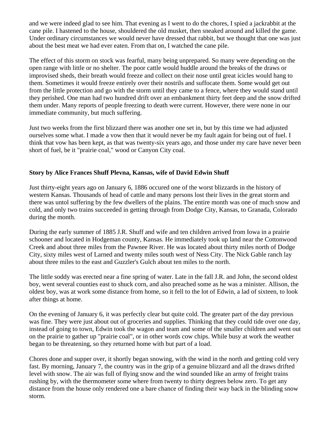and we were indeed glad to see him. That evening as I went to do the chores, I spied a jackrabbit at the cane pile. I hastened to the house, shouldered the old musket, then sneaked around and killed the game. Under ordinary circumstances we would never have dressed that rabbit, but we thought that one was just about the best meat we had ever eaten. From that on, I watched the cane pile.

The effect of this storm on stock was fearful, many being unprepared. So many were depending on the open range with little or no shelter. The poor cattle would huddle around the breaks of the draws or improvised sheds, their breath would freeze and collect on their nose until great icicles would hang to them. Sometimes it would freeze entirely over their nostrils and suffocate them. Some would get out from the little protection and go with the storm until they came to a fence, where they would stand until they perished. One man had two hundred drift over an embankment thirty feet deep and the snow drifted them under. Many reports of people freezing to death were current. However, there were none in our immediate community, but much suffering.

Just two weeks from the first blizzard there was another one set in, but by this time we had adjusted ourselves some what. I made a vow then that it would never be my fault again for being out of fuel. I think that vow has been kept, as that was twenty-six years ago, and those under my care have never been short of fuel, be it "prairie coal," wood or Canyon City coal.

## **Story by Alice Frances Shuff Plevna, Kansas, wife of David Edwin Shuff**

Just thirty-eight years ago on January 6, 1886 occured one of the worst blizzards in the history of western Kansas. Thousands of head of cattle and many persons lost their lives in the great storm and there was untol suffering by the few dwellers of the plains. The entire month was one of much snow and cold, and only two trains succeeded in getting through from Dodge City, Kansas, to Granada, Colorado during the month.

During the early summer of 1885 J.R. Shuff and wife and ten children arrived from Iowa in a prairie schooner and located in Hodgeman county, Kansas. He immediately took up land near the Cottonwood Creek and about three miles from the Pawnee River. He was located about thirty miles north of Dodge City, sixty miles west of Larned and twenty miles south west of Ness City. The Nick Gable ranch lay about three miles to the east and Guzzler's Gulch about ten miles to the north.

The little soddy was erected near a fine spring of water. Late in the fall J.R. and John, the second oldest boy, went several counties east to shuck corn, and also preached some as he was a minister. Allison, the oldest boy, was at work some distance from home, so it fell to the lot of Edwin, a lad of sixteen, to look after things at home.

On the evening of January 6, it was perfectly clear but quite cold. The greater part of the day previous was fine. They were just about out of groceries and supplies. Thinking that they could tide over one day, instead of going to town, Edwin took the wagon and team and some of the smaller children and went out on the prairie to gather up "prairie coal", or in other words cow chips. While busy at work the weather began to be threatening, so they returned home with but part of a load.

Chores done and supper over, it shortly began snowing, with the wind in the north and getting cold very fast. By morning, January 7, the country was in the grip of a genuine blizzard and all the draws drifted level with snow. The air was full of flying snow and the wind sounded like an army of freight trains rushing by, with the thermometer some where from twenty to thirty degrees below zero. To get any distance from the house only rendered one a bare chance of finding their way back in the blinding snow storm.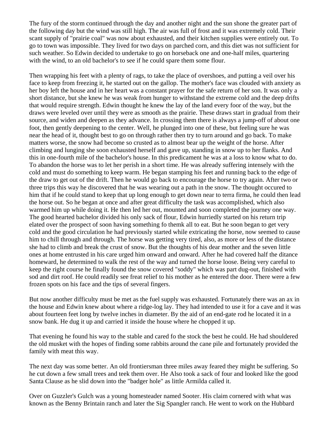The fury of the storm continued through the day and another night and the sun shone the greater part of the following day but the wind was still high. The air was full of frost and it was extremely cold. Their scant supply of "prairie coal" was now about exhausted, and their kitchen supplies were entirely out. To go to town was impossible. They lived for two days on parched corn, and this diet was not sufficient for such weather. So Edwin decided to undertake to go on horseback one and one-half miles, quartering with the wind, to an old bachelor's to see if he could spare them some flour.

Then wrapping his feet with a plenty of rags, to take the place of overshoes, and putting a veil over his face to keep from freezing it, he started out on the gallop. The mother's face was clouded with anxiety as her boy left the house and in her heart was a constant prayer for the safe return of her son. It was only a short distance, but she knew he was weak from hunger to withstand the extreme cold and the deep drifts that would require strength. Edwin thought he knew the lay of the land every foor of the way, but the draws were leveled over until they were as smooth as the prairie. These draws start in gradual from their source, and widen and deepen as they advance. In crossing them there is always a jump-off of about one foot, then gently deepening to the center. Well, he plunged into one of these, but feeling sure he was near the head of it, thought best to go on through rather then try to turn around and go back. To make matters worse, the snow had become so crusted as to almost bear up the weight of the horse. After climbing and lunging she soon exhausted herself and gave up, standing in snow up to her flanks. And this in one-fourth mile of the bachelor's house. In this predicament he was at a loss to know what to do. To abandon the horse was to let her perish in a short time. He was already suffering intensely with the cold and must do something to keep warm. He began stamping his feet and running back to the edge of the draw to get out of the drift. Then he would go back to encourage the horse to try again. After two or three trips this way he discovered that he was wearing out a path in the snow. The thought occured to him that if he could stand to keep that up long enough to get down near to terra firma, he could then lead the horse out. So he began at once and after great difficulty the task was accomplished, which also warmed him up while doing it. He then led her out, mounted and soon completed the journey one way. The good hearted bachelor divided his only sack of flour, Edwin hurriedly started on his return trip elated over the prospect of soon having something fo themk all to eat. But he soon began to get very cold and the good circulation he had previously started while extricating the horse, now seemed to cause him to chill through and through. The horse was getting very tired, also, as more or less of the distance she had to climb and break the crust of snow. But the thoughts of his dear mother and the seven little ones at home entrusted in his care urged him onward and onward. After he had covered half the ditance homeward, he determined to walk the rest of the way and turned the horse loose. Being very careful to keep the right course he finally found the snow covered "soddy" which was part dug-out, finished with sod and dirt roof. He could readily see freat relief to his mother as he entered the door. There were a few frozen spots on his face and the tips of several fingers.

But now another difficulty must be met as the fuel supply was exhausted. Fortunately there was an ax in the house and Edwin knew about where a ridge-log lay. They had intended to use it for a cave and it was about fourteen feet long by twelve inches in diameter. By the aid of an end-gate rod he located it in a snow bank. He dug it up and carried it inside the house where he chopped it up.

That evening he found his way to the stable and cared fo the stock the best he could. He had shouldered the old musket with the hopes of finding some rabbits around the cane pile and fortunately provided the family with meat this way.

The next day was some better. An old frontiersman three miles away feared they might be suffering. So he cut down a few small trees and teek them over. He Also took a sack of four and looked like the good Santa Clause as he slid down into the "badger hole" as little Armilda called it.

Over on Guzzler's Gulch was a young homesteader named Sooter. His claim cornered with what was known as the Benny Brintain ranch and later the Sig Spangler ranch. He went to work on the Hubbard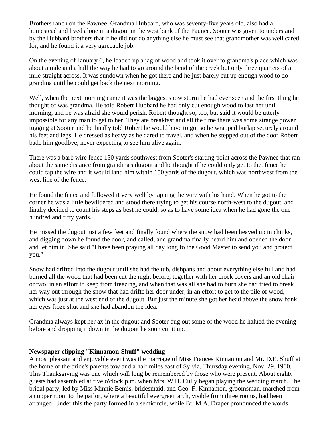Brothers ranch on the Pawnee. Grandma Hubbard, who was seventy-five years old, also had a homestead and lived alone in a dugout in the west bank of the Paunee. Sooter was given to understand by the Hubbard brothers that if he did not do anything else he must see that grandmother was well cared for, and he found it a very agreeable job.

On the evening of January 6, he loaded up a jag of wood and took it over to grandma's place which was about a mile and a half the way he had to go around the bend of the creek but only three quarters of a mile straight across. It was sundown when he got there and he just barely cut up enough wood to do grandma until he could get back the next morning.

Well, when the next morning came it was the biggest snow storm he had ever seen and the first thing he thought of was grandma. He told Robert Hubbard he had only cut enough wood to last her until morning, and he was afraid she would perish. Robert thought so, too, but said it would be utterly impossible for any man to get to her. They ate breakfast and all the time there was some strange power tugging at Sooter and he finally told Robert he would have to go, so he wrapped burlap securely around his feet and legs. He dressed as heavy as he dared to travel, and when he stepped out of the door Robert bade him goodbye, never expecting to see him alive again.

There was a barb wire fence 150 yards southwest from Sooter's starting point across the Pawnee that ran about the same distance from grandma's dugout and he thought if he could only get to thet fence he could tap the wire and it would land him within 150 yards of the dugout, which was northwest from the west line of the fence.

He found the fence and followed it very well by tapping the wire with his hand. When he got to the corner he was a little bewildered and stood there trying to get his course north-west to the dugout, and finally decided to count his steps as best he could, so as to have some idea when he had gone the one hundred and fifty yards.

He missed the dugout just a few feet and finally found where the snow had been heaved up in chinks, and digging down he found the door, and called, and grandma finally heard him and opened the door and let him in. She said "I have been praying all day long fo the Good Master to send you and protect you."

Snow had drifted into the dugout until she had the tub, dishpans and about everything else full and had burned all the wood that had been cut the night before, together with her crock covers and an old chair or two, in an effort to keep from freezing, and when that was all she had to burn she had tried to break her way out through the snow that had drifte her door under, in an effort to get to the pile of wood, which was just at the west end of the dugout. But just the minute she got her head above the snow bank, her eyes froze shut and she had abandon the idea.

Grandma always kept her ax in the dugout and Sooter dug out some of the wood he halued the evening before and dropping it down in the dugout he soon cut it up.

## **Newspaper clipping "Kinnamon-Shuff" wedding**

A most pleasant and enjoyable event was the marriage of Miss Frances Kinnamon and Mr. D.E. Shuff at the home of the bride's parents tow and a half miles east of Sylvia, Thursday evening, Nov. 29, 1900. This Thanksgiving was one which will long be remembered by those who were present. About eighty guests had assembled at five o'clock p.m. when Mrs. W.H. Cully began playing the wedding march. The bridal party, led by Miss Minnie Bemis, bridesmaid, and Geo. F. Kinnamon, groomsman, marched from an upper room to the parlor, where a beautiful evergreen arch, visible from three rooms, had been arranged. Under this the party formed in a semicircle, while Br. M.A. Draper pronounced the words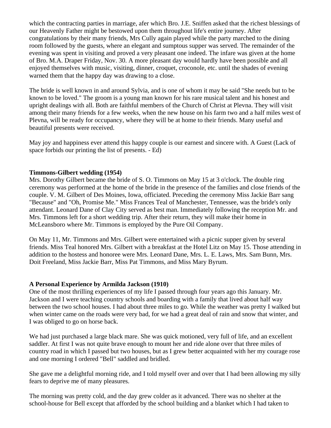which the contracting parties in marriage, afer which Bro. J.E. Sniffen asked that the richest blessings of our Heavenly Father might be bestowed upon them throughout life's entire journey. After congratulations by their many friends, Mrs Cully again played while the party marched to the dining room followed by the guests, where an elegant and sumptous supper was served. The remainder of the evening was spent in visiting and proved a very pleasant one indeed. The infare was given at the home of Bro. M.A. Draper Friday, Nov. 30. A more pleasant day would hardly have been possible and all enjoyed themselves with music, visiting, dinner, croquet, croconole, etc. until the shades of evening warned them that the happy day was drawing to a close.

The bride is well known in and around Sylvia, and is one of whom it may be said "She needs but to be known to be loved." The groom is a young man known for his rare musical talent and his honest and upright dealings with all. Both are faithful members of the Church of Christ at Plevna. They will visit among their many friends for a few weeks, when the new house on his farm two and a half miles west of Plevna, will be ready for occupancy, where they will be at home to their friends. Many useful and beautiful presents were received.

May joy and happiness ever attend this happy couple is our earnest and sincere with. A Guest (Lack of space forbids our printing the list of presents. - Ed)

## **Timmons-Gilbert wedding (1954)**

Mrs. Dorothy Gilbert became the bride of S. O. Timmons on May 15 at 3 o'clock. The double ring ceremony was performed at the home of the bride in the presence of the families and close friends of the couple. V. M. Gilbert of Des Moines, Iowa, officiated. Preceding the ceremony Miss Jackie Barr sang "Because" and "Oh, Promise Me." Miss Frances Teal of Manchester, Tennessee, was the bride's only attendant. Leonard Dane of Clay City served as best man. Immediately following the reception Mr. and Mrs. Timmons left for a short wedding trip. After their return, they will make their home in McLeansboro where Mr. Timmons is employed by the Pure Oil Company.

On May 11, Mr. Timmons and Mrs. Gilbert were entertained with a picnic supper given by several friends. Miss Teal honored Mrs. Gilbert with a breakfast at the Hotel Litz on May 15. Those attending in addition to the hostess and honoree were Mrs. Leonard Dane, Mrs. L. E. Laws, Mrs. Sam Bunn, Mrs. Doit Freeland, Miss Jackie Barr, Miss Pat Timmons, and Miss Mary Byrum.

## **A Personal Experience by Armilda Jackson (1910)**

One of the most thrilling experiences of my life I passed through four years ago this January. Mr. Jackson and I were teaching country schools and boarding with a family that lived about half way between the two school houses. I had about three miles to go. While the weather was pretty I walked but when winter came on the roads were very bad, for we had a great deal of rain and snow that winter, and I was obliged to go on horse back.

We had just purchased a large black mare. She was quick motioned, very full of life, and an excellent saddler. At first I was not quite brave enough to mount her and ride alone over that three miles of country road in which I passed but two houses, but as I grew better acquainted with her my courage rose and one morning I ordered "Bell" saddled and bridled.

She gave me a delightful morning ride, and I told myself over and over that I had been allowing my silly fears to deprive me of many pleasures.

The morning was pretty cold, and the day grew colder as it advanced. There was no shelter at the school-house for Bell except that afforded by the school building and a blanket which I had taken to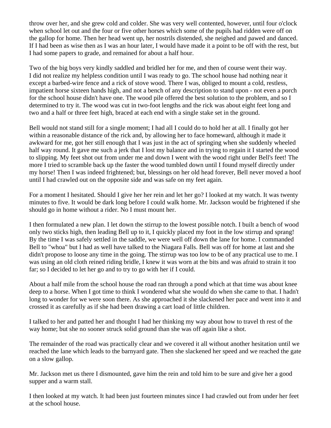throw over her, and she grew cold and colder. She was very well contented, however, until four o'clock when school let out and the four or five other horses which some of the pupils had ridden were off on the gallop for home. Then her head went up, her nostrils distended, she neighed and pawed and danced. If I had been as wise then as I was an hour later, I would have made it a point to be off with the rest, but I had some papers to grade, and remained for about a half hour.

Two of the big boys very kindly saddled and bridled her for me, and then of course went their way. I did not realize my helpless condition until I was ready to go. The school house had nothing near it except a barbed-wire fence and a rick of stove wood. There I was, obliged to mount a cold, restless, impatient horse sixteen hands high, and not a bench of any description to stand upon - not even a porch for the school house didn't have one. The wood pile offered the best solution to the problem, and so I determined to try it. The wood was cut in two-foot lengths and the rick was about eight feet long and two and a half or three feet high, braced at each end with a single stake set in the ground.

Bell would not stand still for a single moment; I had all I could do to hold her at all. I finally got her within a reasonable distance of the rick and, by allowing her to face homeward, although it made it awkward for me, got her still enough that I was just in the act of springing when she suddenly wheeled half way round. It gave me such a jerk that I lost my balance and in trying to regain it I started the wood to slipping. My feet shot out from under me and down I went with the wood right under Bell's feet! The more I tried to scramble back up the faster the wood tumbled down until I found myself directly under my horse! Then I was indeed frightened; but, blessings on her old head forever, Bell never moved a hoof until I had crawled out on the opposite side and was safe on my feet again.

For a moment I hesitated. Should I give her her rein and let her go? I looked at my watch. It was twenty minutes to five. It would be dark long before I could walk home. Mr. Jackson would be frightened if she should go in home without a rider. No I must mount her.

I then formulated a new plan. I let down the stirrup to the lowest possible notch. I built a bench of wood only two sticks high, then leading Bell up to it, I quickly placed my foot in the low stirrup and sprang! By the time I was safely settled in the saddle, we were well off down the lane for home. I commanded Bell to "whoa" but I had as well have talked to the Niagara Falls. Bell was off for home at last and she didn't propose to loose any time in the going. The stirrup was too low to be of any practical use to me. I was using an old cloth reined riding bridle, I knew it was worn at the bits and was afraid to strain it too far; so I decided to let her go and to try to go with her if I could.

About a half mile from the school house the road ran through a pond which at that time was about knee deep to a horse. When I got time to think I wondered what she would do when she came to that. I hadn't long to wonder for we were soon there. As she approached it she slackened her pace and went into it and crossed it as carefully as if she had been drawing a cart load of little children.

I talked to her and patted her and thought I had her thinking my way about how to travel th rest of the way home; but she no sooner struck solid ground than she was off again like a shot.

The remainder of the road was practically clear and we covered it all without another hesitation until we reached the lane which leads to the barnyard gate. Then she slackened her speed and we reached the gate on a slow gallop.

Mr. Jackson met us there I dismounted, gave him the rein and told him to be sure and give her a good supper and a warm stall.

I then looked at my watch. It had been just fourteen minutes since I had crawled out from under her feet at the school house.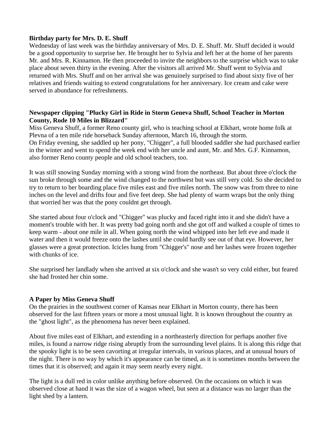## **Birthday party for Mrs. D. E. Shuff**

Wednesday of last week was the birthday anniversary of Mrs. D. E. Shuff. Mr. Shuff decided it would be a good opportunity to surprise her. He brought her to Sylvia and left her at the home of her parents Mr. and Mrs. R. Kinnamon. He then proceeded to invite the neighbors to the surprise which was to take place about seven thirty in the evening. After the visitors all arrived Mr. Shuff went to Sylvia and returned with Mrs. Shuff and on her arrival she was genuinely surprised to find about sixty five of her relatives and friends waiting to extend congratulations for her anniversary. Ice cream and cake were served in abundance for refreshments.

## **Newspaper clipping "Plucky Girl in Ride in Storm Geneva Shuff, School Teacher in Morton County, Rode 10 Miles in Blizzard"**

Miss Geneva Shuff, a former Reno county girl, who is teaching school at Elkhart, wrote home folk at Plevna of a ten mile ride horseback Sunday afternoon, March 16, through the storm. On Friday evening, she saddled up her pony, "Chigger", a full blooded saddler she had purchased earlier in the winter and went to spend the week end with her uncle and aunt, Mr. and Mrs. G.F. Kinnamon, also former Reno county people and old school teachers, too.

It was still snowing Sunday morning with a strong wind from the northeast. But about three o'clock the sun broke through some and the wind changed to the northwest but was still very cold. So she decided to try to return to her boarding place five miles east and five miles north. The snow was from three to nine inches on the level and drifts four and five feet deep. She had plenty of warm wraps but the only thing that worried her was that the pony couldnt get through.

She started about four o'clock and "Chigger" was plucky and faced right into it and she didn't have a moment's trouble with her. It was pretty bad going north and she got off and walked a couple of times to keep warm - about one mile in all. When going north the wind whipped into her left eve and made it water and then it would freeze onto the lashes until she could hardly see out of that eye. However, her glasses were a great protection. Icicles hung from "Chigger's" nose and her lashes were frozen together with chunks of ice.

She surprised her landlady when she arrived at six o'clock and she wasn't so very cold either, but feared she had frosted her chin some.

## **A Paper by Miss Geneva Shuff**

On the prairies in the southwest corner of Kansas near Elkhart in Morton county, there has been observed for the last fifteen years or more a most unusual light. It is known throughout the country as the "ghost light", as the phenomena has never been explained.

About five miles east of Elkhart, and extending in a northeasterly direction for perhaps another five miles, is found a narrow ridge rising abruptly from the surrounding level plains. It is along this ridge that the spooky light is to be seen cavorting at irregular intervals, in various places, and at unusual hours of the night. There is no way by which it's appearance can be timed, as it is sometimes months between the times that it is observed; and again it may seem nearly every night.

The light is a dull red in color unlike anything before observed. On the occasions on which it was observed close at hand it was the size of a wagon wheel, but seen at a distance was no larger than the light shed by a lantern.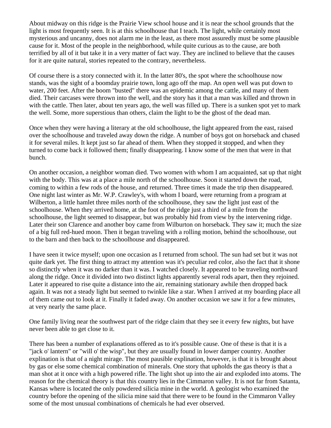About midway on this ridge is the Prairie View school house and it is near the school grounds that the light is most frequently seen. It is at this schoolhouse that I teach. The light, while certainly most mysterious and uncanny, does not alarm me in the least, as there most assuredly must be some plausible cause for it. Most of the people in the neighborhood, while quite curious as to the cause, are both terrified by all of it but take it in a very matter of fact way. They are inclined to believe that the causes for it are quite natural, stories repeated to the contrary, nevertheless.

Of course there is a story connected with it. In the latter 80's, the spot where the schoolhouse now stands, was the sight of a boomday prairie town, long ago off the map. An open well was put down to water, 200 feet. After the boom "busted" there was an epidemic among the cattle, and many of them died. Their carcases were thrown into the well, and the story has it that a man was killed and thrown in with the cattle. Then later, about ten years ago, the well was filled up. There is a sunken spot yet to mark the well. Some, more superstious than others, claim the light to be the ghost of the dead man.

Once when they were having a literary at the old schoolhouse, the light appeared from the east, raised over the schoolhouse and traveled away down the ridge. A number of boys got on horseback and chased it for several miles. It kept just so far ahead of them. When they stopped it stopped, and when they turned to come back it followed them; finally disappearing. I know some of the men that were in that bunch.

On another occasion, a neighbor woman died. Two women with whom I am acquainted, sat up that night with the body. This was at a place a mile north of the schoolhouse. Soon it started down the road, coming to within a few rods of the house, and returned. Three times it made the trip then disappeared. One night last winter as Mr. W.P. Crawley's, with whom I board, were returning from a program at Wilberton, a little hamlet three miles north of the schoolhouse, they saw the light just east of the schoolhouse. When they arrived home, at the foot of the ridge just a third of a mile from the schoolhouse, the light seemed to disappear, but was probably hid from view by the intervening ridge. Later their son Clarence and another boy came from Wilburton on horseback. They saw it; much the size of a big full red-hued moon. Then it began traveling with a rolling motion, behind the schoolhouse, out to the barn and then back to the schoolhouse and disappeared.

I have seen it twice myself; upon one occasion as I returned from school. The sun had set but it was not quite dark yet. The first thing to attract my attention was it's peculiar red color, also the fact that it shone so distinctly when it was no darker than it was. I watched closely. It appeared to be traveling northward along the ridge. Once it divided into two distinct lights apparently several rods apart, then they rejoined. Later it appeared to rise quite a distance into the air, remaining stationary awhile then dropped back again. It was not a steady light but seemed to twinkle like a star. When I arrived at my boarding place all of them came out to look at it. Finally it faded away. On another occasion we saw it for a few minutes, at very nearly the same place.

One family living near the southwest part of the ridge claim that they see it every few nights, but have never been able to get close to it.

There has been a number of explanations offered as to it's possible cause. One of these is that it is a "jack o' lantern" or "will o' the wisp", but they are usually found in lower damper country. Another explination is that of a night mirage. The most pausible explination, however, is that it is brought about by gas or else some chemical combination of minerals. One story that upholds the gas theory is that a man shot at it once with a high powered rifle. The light shot up into the air and exploded into atoms. The reason for the chemical theory is that this country lies in the Cimmaron valley. It is not far from Satanta, Kansas where is located the only powdered silicia mine in the world. A geologist who examined the country before the opening of the silicia mine said that there were to be found in the Cimmaron Valley some of the most unusual combinations of chemicals he had ever observed.